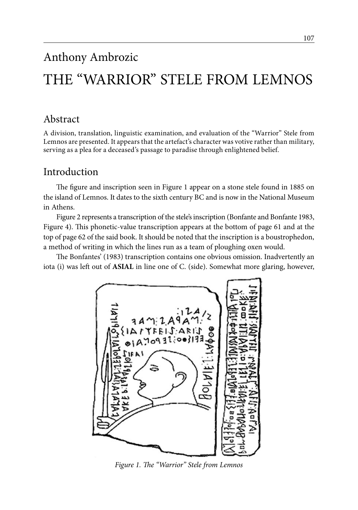# Anthony Ambrozic

# THE "WARRIOR" STELE FROM LEMNOS

# Abstract

A division, translation, linguistic examination, and evaluation of the "Warrior" Stele from Lemnos are presented. It appears that the artefact's character was votive rather than military, serving as a plea for a deceased's passage to paradise through enlightened belief.

### Introduction

The figure and inscription seen in Figure 1 appear on a stone stele found in 1885 on the island of Lemnos. It dates to the sixth century BC and is now in the National Museum in Athens.

Figure 2 represents a transcription of the stele's inscription (Bonfante and Bonfante 1983, Figure 4). This phonetic-value transcription appears at the bottom of page 61 and at the top of page 62 of the said book. It should be noted that the inscription is a boustrophedon, a method of writing in which the lines run as a team of ploughing oxen would.

The Bonfantes' (1983) transcription contains one obvious omission. Inadvertently an iota (i) was left out of **ASIAL** in line one of C. (side). Somewhat more glaring, however,



*Figure 1. The "Warrior" Stele from Lemnos*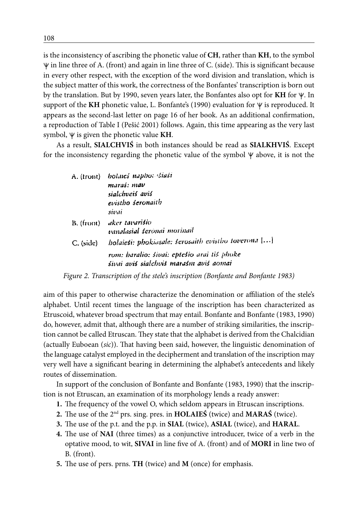is the inconsistency of ascribing the phonetic value of **CH**, rather than **KH**, to the symbol  $\Psi$  in line three of A. (front) and again in line three of C. (side). This is significant because in every other respect, with the exception of the word division and translation, which is the subject matter of this work, the correctness of the Bonfantes' transcription is born out by the translation. But by 1990, seven years later, the Bonfantes also opt for  $KH$  for  $\psi$ . In support of the KH phonetic value, L. Bonfante's (1990) evaluation for  $\Psi$  is reproduced. It appears as the second-last letter on page 16 of her book. As an additional confirmation, a reproduction of Table I (Pešić 2001) follows. Again, this time appearing as the very last symbol,  $\Psi$  is given the phonetic value **KH**.

As a result, **SIALCHVIŚ** in both instances should be read as **SIALKHVIŚ**. Except for the inconsistency regarding the phonetic value of the symbol  $\Psi$  above, it is not the

| A. (tront)  | bolaies naphor istasi                                                                 |
|-------------|---------------------------------------------------------------------------------------|
|             | maraś: mav                                                                            |
|             | sialchveis avis                                                                       |
|             | evistho seronaith                                                                     |
|             | sivai                                                                                 |
| $B.$ (from) | aker tavarišio<br>vanalasial šeronai morinail                                         |
| $C.$ (side) | holaiesi: phokiasale: serosaith evistbo toverona []                                   |
|             | rom: haralio: šivai: eptešio arai tiš phoke<br>šivai aviš sialchviš marašm aviš aomai |

*Figure 2. Transcription of the stele's inscription (Bonfante and Bonfante 1983)*

aim of this paper to otherwise characterize the denomination or affiliation of the stele's alphabet. Until recent times the language of the inscription has been characterized as Etruscoid, whatever broad spectrum that may entail. Bonfante and Bonfante (1983, 1990) do, however, admit that, although there are a number of striking similarities, the inscription cannot be called Etruscan. They state that the alphabet is derived from the Chalcidian (actually Euboean (*sic*)). That having been said, however, the linguistic denomination of the language catalyst employed in the decipherment and translation of the inscription may very well have a significant bearing in determining the alphabet's antecedents and likely routes of dissemination.

In support of the conclusion of Bonfante and Bonfante (1983, 1990) that the inscription is not Etruscan, an examination of its morphology lends a ready answer:

- **1.** The frequency of the vowel O, which seldom appears in Etruscan inscriptions.
- **2.** The use of the 2nd prs. sing. pres. in **HOLAIEŚ** (twice) and **MARAŚ** (twice).
- **3.** The use of the p.t. and the p.p. in **SIAL** (twice), **ASIAL** (twice), and **HARAL**.
- **4.** The use of **NAI** (three times) as a conjunctive introducer, twice of a verb in the optative mood, to wit, **SIVAI** in line five of A. (front) and of **MORI** in line two of B. (front).
- **5.** The use of pers. prns. **TH** (twice) and **M** (once) for emphasis.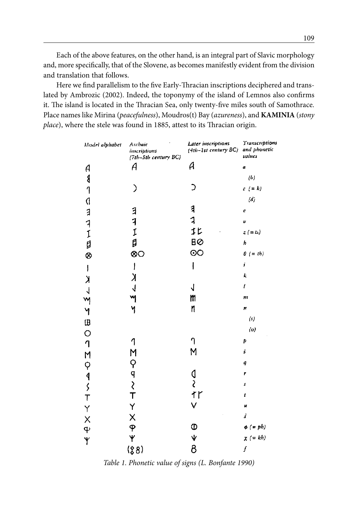Each of the above features, on the other hand, is an integral part of Slavic morphology and, more specifically, that of the Slovene, as becomes manifestly evident from the division and translation that follows.

Here we find parallelism to the five Early-Thracian inscriptions deciphered and translated by Ambrozic (2002). Indeed, the toponymy of the island of Lemnos also confirms it. The island is located in the Thracian Sea, only twenty-five miles south of Samothrace. Place names like Mirina (*peacefulness*), Moudros(t) Bay (*azureness*), and **KAMINIA** (*stony place*), where the stele was found in 1885, attest to its Thracian origin.

| Model alphabet   | Archaic<br>inscriptions<br>(7th-5th century BC) | Later inscriptions<br>(4th-1st century BC) | Transcriptions<br>and phonetic<br>values |
|------------------|-------------------------------------------------|--------------------------------------------|------------------------------------------|
| A                | A                                               | А                                          | a                                        |
|                  |                                                 |                                            | (b)                                      |
| ४<br>१           | ⟩                                               |                                            | $c (= k)$                                |
|                  |                                                 |                                            | $\langle d \rangle$                      |
| <b>C ヨ コ エ 目</b> |                                                 | 1                                          | Ċ                                        |
|                  |                                                 | 1                                          | v                                        |
|                  | ヨコエロ                                            | 1 <sub>L</sub>                             | $z (=ts)$                                |
|                  |                                                 | BØ                                         | h                                        |
| ⊗                | ⊗O                                              | <u>၀၀</u>                                  | $0 (= th)$                               |
| $\mathbf{I}$     | $\mathbf{I}$                                    | I                                          | j                                        |
| $\lambda$        | $\lambda$                                       |                                            | k                                        |
|                  | $\overline{\mathcal{A}}$                        | J                                          | $\mathbf{I}$                             |
|                  |                                                 | m                                          | 111                                      |
|                  | y                                               | n                                          | Ħ                                        |
|                  |                                                 |                                            | (s)                                      |
|                  |                                                 |                                            | (o)                                      |
|                  | 1                                               |                                            | Þ                                        |
|                  |                                                 | M                                          | ś                                        |
|                  |                                                 |                                            | q                                        |
|                  | コウマント                                           |                                            | ۳                                        |
|                  |                                                 | ०<br>१                                     | \$                                       |
|                  |                                                 | tr                                         | t                                        |
|                  | Y                                               | V                                          | u                                        |
|                  | Χ<br>φ                                          |                                            | š                                        |
|                  |                                                 |                                            | $\phi (= ph)$                            |
| イベイスト クロロロクスキン   | Y                                               | $\frac{\Theta}{\mathbf{r}}$                | $\chi$ (= kh)                            |
|                  | (88)                                            | 8                                          | f                                        |

*Table 1. Phonetic value of signs (L. Bonfante 1990)*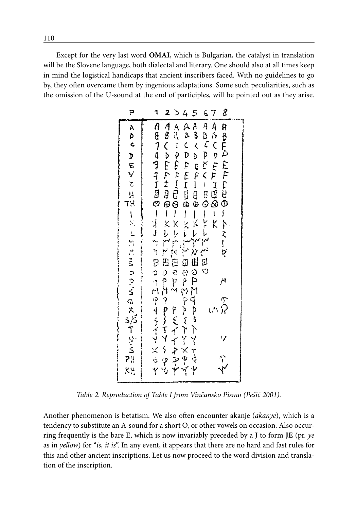Except for the very last word **OMAI**, which is Bulgarian, the catalyst in translation will be the Slovene language, both dialectal and literary. One should also at all times keep in mind the logistical handicaps that ancient inscribers faced. With no guidelines to go by, they often overcame them by ingenious adaptations. Some such peculiarities, such as the omission of the U-sound at the end of participles, will be pointed out as they arise.

*Table 2. Reproduction of Table I from Vinčansko Pismo (Pešić 2001).*

Another phenomenon is betatism. We also often encounter akanje (*akanye*), which is a tendency to substitute an A-sound for a short O, or other vowels on occasion. Also occurring frequently is the bare E, which is now invariably preceded by a J to form **JE** (pr. *ye* as in *yellow*) for "*is, it is*". In any event, it appears that there are no hard and fast rules for this and other ancient inscriptions. Let us now proceed to the word division and translation of the inscription.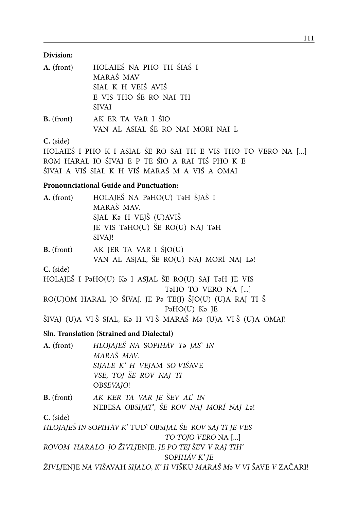#### **Division:**

| $A.$ (front) | HOLAIEŚ NA PHO TH ŚIAŚ I             |
|--------------|--------------------------------------|
|              | MARAŚ MAV                            |
|              | SIAL K H VEIŚ AVIŚ                   |
|              | E VIS THO ŚE RO NAI TH               |
|              | <b>SIVAI</b>                         |
|              | <b>B.</b> (front) AK ER TA VAR I ŚIO |
|              | VAN AL ASIAL ŚE RO NAI MORI NAI L    |
| $C$ (side)   |                                      |

**C.** (side)

HOLAIEŚ I PHO K I ASIAL ŚE RO SAI TH E VIS THO TO VERO NA [...] ROM HARAL IO ŚIVAI E P TE ŚIO A RAI TIŚ PHO K E ŚIVAI A VIŚ SIAL K H VIŚ MARAŚ M A VIŚ A OMAI

#### **Pronounciational Guide and Punctuation:**

| A. (front)  | HOLAJEŠ NA PaHO(U) TaH ŠJAŠ I                                        |
|-------------|----------------------------------------------------------------------|
|             | MARAŠ MAV.                                                           |
|             | SJAL Ka H VEJŠ (U)AVIŠ                                               |
|             | JE VIS TaHO(U) ŠE RO(U) NAJ TaH                                      |
|             | SIVAJ!                                                               |
| B. (front)  | AK JER TA VAR I ŠJO(U)                                               |
|             | VAN AL ASJAL, ŠE RO(U) NAJ MORÍ NAJ La!                              |
| C. (side)   |                                                                      |
|             | HOLAJEŠ I P∂HO(U) K∂ I ASJAL ŠE RO(U) SAJ T∂H JE VIS                 |
|             | T <sub>a</sub> HO TO VERO NA []                                      |
|             | RO(U)OM HARAL JO ŠIVAJ. JE P∂ TE(J) ŠJO(U) (U)A RAJ TI Š             |
|             | PaHO(U) Ka JE                                                        |
|             | ŠIVAJ (U)A VIŠ SJAL, Ka H VIŠ MARAŠ Ma (U)A VIŠ (U)A OMAJ!           |
|             | Sln. Translation (Strained and Dialectal)                            |
| A. (front)  | HLOJAJEŠ NA SOPIHÁV T2 JAS' IN                                       |
|             | MARAŠ MAV.                                                           |
|             | SIJALE K' H VEJAM SO VIŠAVE                                          |
|             | VSE, TOJ ŠE ROV NAJ TI                                               |
|             | OBSEVAJO!                                                            |
| B. (front)  | AK KER TA VAR JE ŠEV AĽ IN                                           |
|             | NEBESA OBSIJAT', ŠE ROV NAJ MORÍ NAJ La!                             |
| $C.$ (side) |                                                                      |
|             | HLOJAJEŠ IN SOPIHÁV K'TUD' OBSIJAL ŠE ROV SAJ TI JE VES              |
|             | TO TOJO VERO NA []                                                   |
|             | ROVOM HARALO JO ŽIVLJENJE. JE PO TEJ ŠEV V RAJ TIH'                  |
|             | SOPIHÁV K' JE                                                        |
|             | ŽIVLJENJE NA VIŠAVAH SIJALO, K' H VIŠKU MARAŠ Mə V VI ŠAVE V ZAČARI! |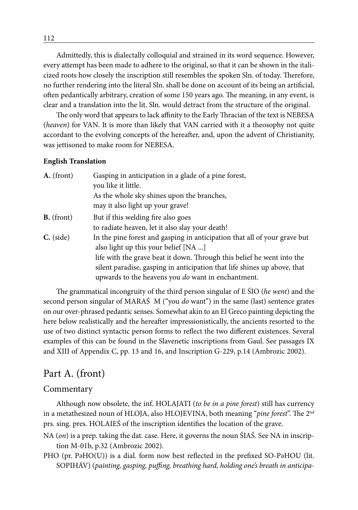Admittedly, this is dialectally colloquial and strained in its word sequence. However, every attempt has been made to adhere to the original, so that it can be shown in the italicized roots how closely the inscription still resembles the spoken Sln. of today. Therefore, no further rendering into the literal Sln. shall be done on account of its being an artificial, often pedantically arbitrary, creation of some 150 years ago. The meaning, in any event, is clear and a translation into the lit. Sln. would detract from the structure of the original.

The only word that appears to lack affinity to the Early Thracian of the text is NEBESA (*heaven*) for VAN. It is more than likely that VAN carried with it a theosophy not quite accordant to the evolving concepts of the hereafter, and, upon the advent of Christianity, was jettisoned to make room for NEBESA.

#### **English Translation**

| A. (front)  | Gasping in anticipation in a glade of a pine forest,                      |  |  |
|-------------|---------------------------------------------------------------------------|--|--|
|             | you like it little.                                                       |  |  |
|             | As the whole sky shines upon the branches,                                |  |  |
|             | may it also light up your grave!                                          |  |  |
| B. (front)  | But if this welding fire also goes                                        |  |  |
|             | to radiate heaven, let it also slay your death!                           |  |  |
| $C.$ (side) | In the pine forest and gasping in anticipation that all of your grave but |  |  |
|             | also light up this your belief [NA ]                                      |  |  |
|             | life with the grave beat it down. Through this belief he went into the    |  |  |
|             | silent paradise, gasping in anticipation that life shines up above, that  |  |  |
|             | upwards to the heavens you <i>do</i> want in enchantment.                 |  |  |

The grammatical incongruity of the third person singular of E ŚIO (*he went*) and the second person singular of MARAŚ M ("you *do* want") in the same (last) sentence grates on our over-phrased pedantic senses. Somewhat akin to an El Greco painting depicting the here below realistically and the hereafter impressionistically, the ancients resorted to the use of two distinct syntactic person forms to reflect the two different existences. Several examples of this can be found in the Slavenetic inscriptions from Gaul. See passages IX and XIII of Appendix C, pp. 13 and 16, and Inscription G-229, p.14 (Ambrozic 2002).

### Part A. (front)

#### Commentary

Although now obsolete, the inf. HOLAJATI (*to be in a pine forest*) still has currency in a metathesized noun of HLOJA, also HLOJEVINA, both meaning "*pine forest*". The 2nd prs. sing. pres. HOLAIEŚ of the inscription identifies the location of the grave.

NA (*on*) is a prep. taking the dat. case. Here, it governs the noun ŚIAŚ. See NA in inscription M-01b, p.32 (Ambrozic 2002).

PHO (pr. PәHO(U)) is a dial. form now best reflected in the prefixed SO-PәHOU (lit. SOPIHÁV) (*painting, gasping, puffing, breathing hard, holding one's breath in anticipa-*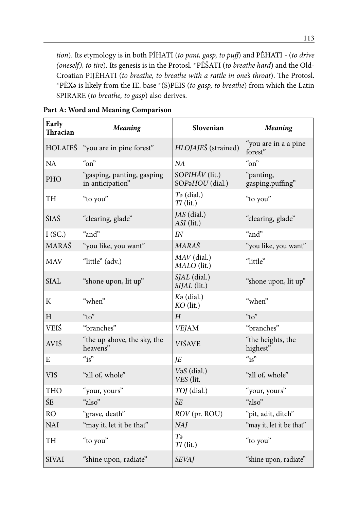*tion*). Its etymology is in both PÍHATI (*to pant, gasp, to puff*) and PÊHATI - (*to drive (oneself), to tire*). Its genesis is in the Protosl. \*PĔŠATI (*to breathe hard*) and the Old-Croatian PIJÉHATI (*to breathe, to breathe with a rattle in one's throat*). The Protosl. \*PÊXә is likely from the IE. base \*(S)PEIS (*to gasp, to breathe*) from which the Latin SPIRARE (*to breathe, to gasp*) also derives.

| Early<br>Thracian | <b>Meaning</b>                                 | Slovenian                              | <b>Meaning</b>                  |
|-------------------|------------------------------------------------|----------------------------------------|---------------------------------|
| <b>HOLAIEŚ</b>    | "you are in pine forest"                       | HLOJAJEŠ (strained)                    | "you are in a a pine<br>forest" |
| NA                | $\alpha$ <sup>"</sup>                          | NA                                     | $\alpha$ <sup>"</sup>           |
| <b>PHO</b>        | "gasping, panting, gasping<br>in anticipation" | SOPIHÁV (lit.)<br>SOPaHOU (dial.)      | "panting,<br>gasping, puffing"  |
| TH                | "to you"                                       | $T\vartheta$ (dial.)<br>$TI$ (lit.)    | "to you"                        |
| ŚIAŚ              | "clearing, glade"                              | JAS (dial.)<br>ASI (lit.)              | "clearing, glade"               |
| I(SC.)            | "and"                                          | IN                                     | "and"                           |
| <b>MARAŚ</b>      | "you like, you want"                           | <b>MARAŠ</b>                           | "you like, you want"            |
| <b>MAV</b>        | "little" (adv.)                                | $MAV$ (dial.)<br>MALO (lit.)           | "little"                        |
| SIAL              | "shone upon, lit up"                           | SJAL (dial.)<br>SIJAL (lit.)           | "shone upon, lit up"            |
| K                 | "when"                                         | $K\mathfrak{g}$ (dial.)<br>$KO$ (lit.) | "when"                          |
| H                 | $\alpha_{\text{to}}$                           | $H_{\rm}$                              | " $to$ "                        |
| <b>VEIŚ</b>       | "branches"                                     | <b>VEJAM</b>                           | "branches"                      |
| <b>AVIŚ</b>       | "the up above, the sky, the<br>heavens"        | <b>VIŚAVE</b>                          | "the heights, the<br>highest"   |
| E                 | $\alpha$ is"                                   | IE                                     | $\alpha$ is"                    |
| <b>VIS</b>        | "all of, whole"                                | VaS (dial.)<br>VES (lit.               | "all of, whole"                 |
| <b>THO</b>        | "your, yours"                                  | TOJ (dial.)                            | "your, yours"                   |
| ŚE                | "also"                                         | ŠE                                     | "also"                          |
| <b>RO</b>         | "grave, death"                                 | ROV (pr. ROU)                          | "pit, adit, ditch"              |
| <b>NAI</b>        | "may it, let it be that"                       | NAJ                                    | "may it, let it be that"        |
| TH                | "to you"                                       | Tə<br>$TI$ (lit.)                      | "to you"                        |
| <b>SIVAI</b>      | "shine upon, radiate"                          | <b>SEVAJ</b>                           | "shine upon, radiate"           |

**Part A: Word and Meaning Comparison**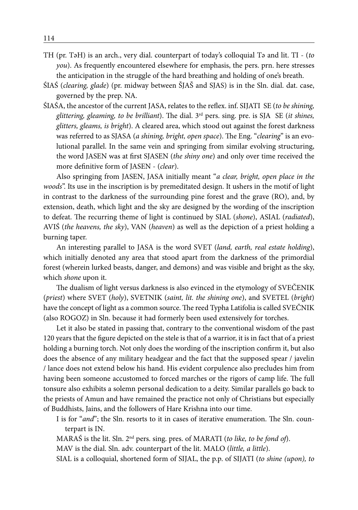- TH (pr. TәH) is an arch., very dial. counterpart of today's colloquial Tә and lit. TI (*to you*). As frequently encountered elsewhere for emphasis, the pers. prn. here stresses the anticipation in the struggle of the hard breathing and holding of one's breath.
- ŚIAŚ (*clearing, glade*) (pr. midway between ŠJAŠ and SJAS) is in the Sln. dial. dat. case, governed by the prep. NA.
- ŚIAŚA, the ancestor of the current JASA, relates to the reflex. inf. SIJATI SE (*to be shining, glittering, gleaming, to be brilliant*). The dial. 3rd pers. sing. pre. is SJA SE (*it shines, glitters, gleams, is bright*). A cleared area, which stood out against the forest darkness was referred to as SJASA (*a shining, bright, open space*). The Eng. "*clearing*" is an evolutional parallel. In the same vein and springing from similar evolving structuring, the word JASEN was at first SJASEN (*the shiny one*) and only over time received the more definitive form of JASEN - (*clear*).

Also springing from JASEN, JASA initially meant "*a clear, bright, open place in the woods*". Its use in the inscription is by premeditated design. It ushers in the motif of light in contrast to the darkness of the surrounding pine forest and the grave (RO), and, by extension, death, which light and the sky are designed by the wording of the inscription to defeat. The recurring theme of light is continued by SIAL (*shone*), ASIAL (*radiated*), AVIŚ (*the heavens, the sky*), VAN (*heaven*) as well as the depiction of a priest holding a burning taper.

An interesting parallel to JASA is the word SVET (*land, earth, real estate holding*), which initially denoted any area that stood apart from the darkness of the primordial forest (wherein lurked beasts, danger, and demons) and was visible and bright as the sky, which *shone* upon it.

The dualism of light versus darkness is also evinced in the etymology of SVEČENIK (*priest*) where SVET (*holy*), SVETNIK (*saint, lit. the shining one*), and SVETEL (*bright*) have the concept of light as a common source. The reed Typha Latifolia is called SVEČNIK (also ROGOZ) in Sln. because it had formerly been used extensively for torches.

Let it also be stated in passing that, contrary to the conventional wisdom of the past 120 years that the figure depicted on the stele is that of a warrior, it is in fact that of a priest holding a burning torch. Not only does the wording of the inscription confirm it, but also does the absence of any military headgear and the fact that the supposed spear / javelin / lance does not extend below his hand. His evident corpulence also precludes him from having been someone accustomed to forced marches or the rigors of camp life. The full tonsure also exhibits a solemn personal dedication to a deity. Similar parallels go back to the priests of Amun and have remained the practice not only of Christians but especially of Buddhists, Jains, and the followers of Hare Krishna into our time.

I is for "*and*"; the Sln. resorts to it in cases of iterative enumeration. The Sln. counterpart is IN.

MARAŚ is the lit. Sln. 2nd pers. sing. pres. of MARATI (*to like, to be fond of*).

MAV is the dial. Sln. adv. counterpart of the lit. MALO (*little, a little*).

SIAL is a colloquial, shortened form of SIJAL, the p.p. of SIJATI (*to shine (upon), to*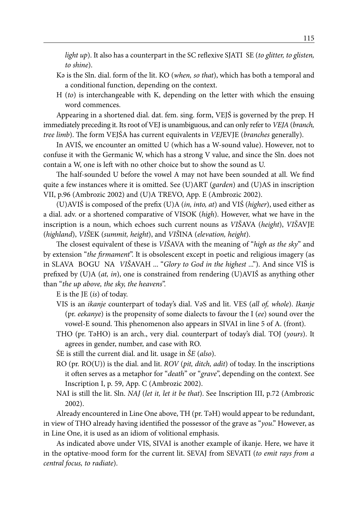*light up*). It also has a counterpart in the SC reflexive SJATI SE (*to glitter, to glisten, to shine*).

- Kә is the Sln. dial. form of the lit. KO (*when, so that*), which has both a temporal and a conditional function, depending on the context.
- H (*to*) is interchangeable with K, depending on the letter with which the ensuing word commences.

Appearing in a shortened dial. dat. fem. sing. form, VEJŚ is governed by the prep. H immediately preceding it. Its root of VEJ is unambiguous, and can only refer to *VEJA* (*branch, tree limb*). The form VEJŚA has current equivalents in *VEJ*EVJE (*branches* generally).

In AVIŚ, we encounter an omitted U (which has a W-sound value). However, not to confuse it with the Germanic W, which has a strong V value, and since the Sln. does not contain a W, one is left with no other choice but to show the sound as U.

The half-sounded U before the vowel A may not have been sounded at all. We find quite a few instances where it is omitted. See (U)ART (*garden*) and (U)AS in inscription VII, p.96 (Ambrozic 2002) and (U)A TREVO, App. E (Ambrozic 2002).

(U)AVIŚ is composed of the prefix (U)A (*in, into, at*) and VIŚ (*higher*), used either as a dial. adv. or a shortened comparative of VISOK (*high*). However, what we have in the inscription is a noun, which echoes such current nouns as *VIŠ*AVA (*height*), *VIŠ*AVJE (*highland*), *VIŠ*EK (*summit, height*), and *VIŠ*INA (*elevation, height*).

The closest equivalent of these is *VIŠ*AVA with the meaning of "*high as the sky*" and by extension "*the firmament*". It is obsolescent except in poetic and religious imagery (as in SLAVA BOGU NA *VIŠ*AVAH ... "*Glory to God in the highest* ..."). And since VIŠ is prefixed by (U)A (*at, in*), one is constrained from rendering (U)AVIŚ as anything other than "*the up above, the sky, the heavens*".

E is the JE (*is*) of today.

- VIS is an *ikanje* counterpart of today's dial. VәS and lit. VES (*all of, whole*). *Ikanje* (pr. *eekanye*) is the propensity of some dialects to favour the I (*ee*) sound over the vowel-E sound. This phenomenon also appears in SIVAI in line 5 of A. (front).
- THO (pr. TәHO) is an arch., very dial. counterpart of today's dial. TOJ (*yours*). It agrees in gender, number, and case with RO.
- ŚE is still the current dial. and lit. usage in *ŠE* (*also*).
- RO (pr. RO(U)) is the dial. and lit. *ROV* (*pit, ditch, adit*) of today. In the inscriptions it often serves as a metaphor for "*death*" or "*grave*", depending on the context. See Inscription I, p. 59, App. C (Ambrozic 2002).
- NAI is still the lit. Sln. *NAJ* (*let it, let it be that*). See Inscription III, p.72 (Ambrozic 2002).

Already encountered in Line One above, TH (pr. TәH) would appear to be redundant, in view of THO already having identified the possessor of the grave as "*you*." However, as in Line One, it is used as an idiom of volitional emphasis.

As indicated above under VIS, SIVAI is another example of ikanje. Here, we have it in the optative-mood form for the current lit. SEVAJ from SEVATI (*to emit rays from a central focus, to radiate*).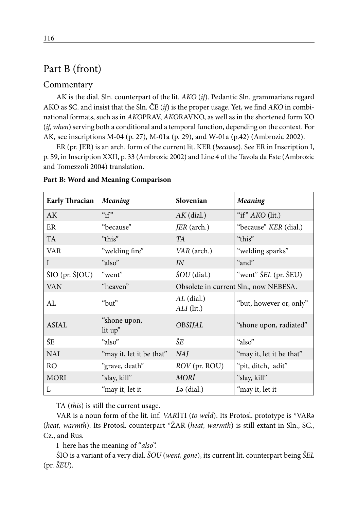# Part B (front)

#### Commentary

AK is the dial. Sln. counterpart of the lit. *AKO* (*if*). Pedantic Sln. grammarians regard AKO as SC. and insist that the Sln. ČE (*if*) is the proper usage. Yet, we find *AKO* in combinational formats, such as in *AKO*PRAV, *AKO*RAVNO, as well as in the shortened form KO (*if, when*) serving both a conditional and a temporal function, depending on the context. For AK, see inscriptions M-04 (p. 27), M-01a (p. 29), and W-01a (p.42) (Ambrozic 2002).

ER (pr. JER) is an arch. form of the current lit. KER (*because*). See ER in Inscription I, p. 59, in Inscription XXII, p. 33 (Ambrozic 2002) and Line 4 of the Tavola da Este (Ambrozic and Tomezzoli 2004) translation.

| <b>Early Thracian</b> | <b>Meaning</b>           | Slovenian                  | <b>Meaning</b>                        |
|-----------------------|--------------------------|----------------------------|---------------------------------------|
| AK                    | " $if"$                  | $AK$ (dial.)               | "if" AKO (lit.)                       |
| ER                    | "because"                | JER (arch.)                | "because" KER (dial.)                 |
| <b>TA</b>             | "this"                   | TA                         | "this"                                |
| <b>VAR</b>            | "welding fire"           | VAR (arch.)                | "welding sparks"                      |
| $\mathbf{I}$          | "also"                   | IN                         | "and"                                 |
| ŚIO (pr. ŠJOU)        | "went"                   | $\text{SOU}$ (dial.)       | "went" <i>ŠEL</i> (pr. ŠEU)           |
| <b>VAN</b>            | "heaven"                 |                            | Obsolete in current Sln., now NEBESA. |
| AL                    | "but"                    | $AL$ (dial.)<br>ALI (lit.) | "but, however or, only"               |
| <b>ASIAL</b>          | "shone upon,<br>lit up"  | <b>OBSIJAL</b>             | "shone upon, radiated"                |
| ŚE                    | "also"                   | ŠE                         | "also"                                |
| <b>NAI</b>            | "may it, let it be that" | NAJ                        | "may it, let it be that"              |
| RO <sub>1</sub>       | "grave, death"           | ROV (pr. ROU)              | "pit, ditch, adit"                    |
| <b>MORI</b>           | "slay, kill"             | MORÍ                       | "slay, kill"                          |
| L                     | "may it, let it          | $L\mathfrak{g}$ (dial.)    | "may it, let it                       |

#### **Part B: Word and Meaning Comparison**

TA (*this*) is still the current usage.

VAR is a noun form of the lit. inf. *VAR*ÍTI (*to weld*). Its Protosl. prototype is \*VARә (*heat, warmth*). Its Protosl. counterpart \*ŽAR (*heat, warmth*) is still extant in Sln., SC., Cz., and Rus.

I here has the meaning of "*also*".

ŚIO is a variant of a very dial. *ŠOU* (*went, gone*), its current lit. counterpart being *ŠEL*  (pr. *ŠEU*).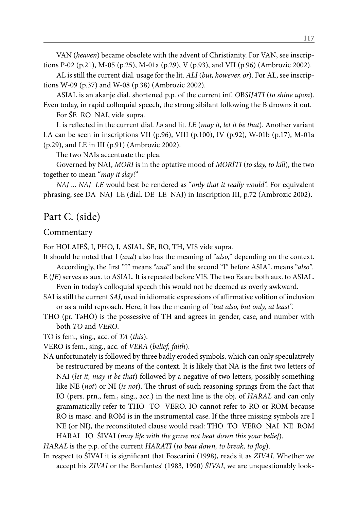VAN (*heaven*) became obsolete with the advent of Christianity. For VAN, see inscriptions P-02 (p.21), M-05 (p.25), M-01a (p.29), V (p.93), and VII (p.96) (Ambrozic 2002).

AL is still the current dial. usage for the lit. *ALI* (*but, however, or*). For AL, see inscriptions W-09 (p.37) and W-08 (p.38) (Ambrozic 2002).

ASIAL is an akanje dial. shortened p.p. of the current inf. *O*B*SIJATI* (*to shine upon*). Even today, in rapid colloquial speech, the strong sibilant following the B drowns it out.

For ŚE RO NAI, vide supra.

L is reflected in the current dial. *L*ә and lit. *LE* (*may it, let it be that*). Another variant LA can be seen in inscriptions VII (p.96), VIII (p.100), IV (p.92), W-01b (p.17), M-01a (p.29), and LE in III (p.91) (Ambrozic 2002).

The two NAIs accentuate the plea.

Governed by NAI, *MORI* is in the optative mood of *MORÍTI* (*to slay, to kill*), the two together to mean "*may it slay*!"

*NAJ* ... *NAJ LE* would best be rendered as "*only that it really would*". For equivalent phrasing, see DA NAJ LE (dial. DE LE NAJ) in Inscription III, p.72 (Ambrozic 2002).

### Part C. (side)

#### Commentary

For HOLAIEŚ, I, PHO, I, ASIAL, ŚE, RO, TH, VIS vide supra.

- It should be noted that I (*and*) also has the meaning of "*also*," depending on the context. Accordingly, the first "I" means "*and*" and the second "I" before ASIAL means "*also*".
- E (*JE*) serves as aux. to ASIAL. It is repeated before VIS. The two Es are both aux. to ASIAL. Even in today's colloquial speech this would not be deemed as overly awkward.
- SAI is still the current *SAJ*, used in idiomatic expressions of affirmative volition of inclusion or as a mild reproach. Here, it has the meaning of "*but also, but only, at least*".
- THO (pr. TәHÓ) is the possessive of TH and agrees in gender, case, and number with both *TO* and *VERO*.

TO is fem., sing., acc. of *TA* (*this*).

- VERO is fem., sing., acc. of *VERA* (*belief, faith*).
- NA unfortunately is followed by three badly eroded symbols, which can only speculatively be restructured by means of the context. It is likely that NA is the first two letters of NAI (*let it, may it be that*) followed by a negative of two letters, possibly something like NE (*not*) or NI (*is not*). The thrust of such reasoning springs from the fact that IO (pers. prn., fem., sing., acc.) in the next line is the obj. of *HARAL* and can only grammatically refer to THO TO VERO. IO cannot refer to RO or ROM because RO is masc. and ROM is in the instrumental case. If the three missing symbols are I NE (or NI), the reconstituted clause would read: THO TO VERO NAI NE ROM HARAL IO ŚIVAI (*may life with the grave not beat down this your belief*).

*HARAL* is the p.p. of the current *HARATI* (*to beat down, to break, to flog*).

In respect to ŚIVAI it is significant that Foscarini (1998), reads it as *ZIVAI*. Whether we accept his *ZIVAI* or the Bonfantes' (1983, 1990) *ŚIVAI*, we are unquestionably look-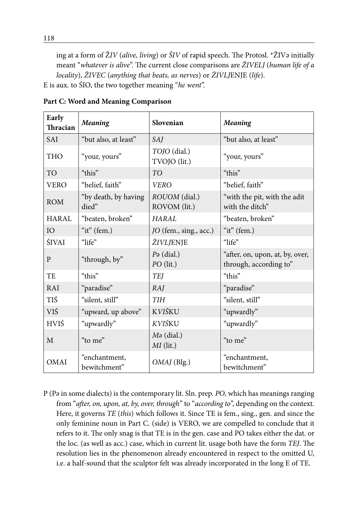ing at a form of Ž*IV* (*alive, living*) or *ŠIV* of rapid speech. The Protosl. \*ŽIVә initially meant "*whatever is alive*". The current close comparisons are *ŽIVELJ* (*human life of a locality*), *ŽIVEC* (*anything that beats, as nerves*) or *ŽIVLJ*ENJE (*life*).

E is aux. to ŚIO, the two together meaning "*he went*".

| Early<br>Thracian | <b>Meaning</b>                | Slovenian                              | <b>Meaning</b>                                            |
|-------------------|-------------------------------|----------------------------------------|-----------------------------------------------------------|
| <b>SAI</b>        | "but also, at least"          | <i>SAJ</i>                             | "but also, at least"                                      |
| <b>THO</b>        | "your, yours"                 | TOJO (dial.)<br>TVOJO (lit.)           | "your, yours"                                             |
| <b>TO</b>         | "this"                        | TO <sub>1</sub>                        | "this"                                                    |
| <b>VERO</b>       | "belief, faith"               | <b>VERO</b>                            | "belief, faith"                                           |
| <b>ROM</b>        | "by death, by having<br>died" | ROUOM (dial.)<br>ROVOM (lit.)          | "with the pit, with the adit<br>with the ditch"           |
| HARAL             | "beaten, broken"              | HARAI.                                 | "beaten, broken"                                          |
| IO                | "it" $($ fem. $)$             | JO (fem., sing., acc.)                 | "it" $($ fem. $)$                                         |
| ŚIVAI             | "life"                        | ŽIVLJENJE                              | "life"                                                    |
| P                 | "through, by"                 | $P\vartheta$ (dial.)<br>$PO$ (lit.)    | "after, on, upon, at, by, over,<br>through, according to" |
| <b>TE</b>         | "this"                        | <b>TEJ</b>                             | "this"                                                    |
| <b>RAI</b>        | "paradise"                    | RAJ                                    | "paradise"                                                |
| TIŚ               | "silent, still"               | <b>TIH</b>                             | "silent, still"                                           |
| VIŚ               | "upward, up above"            | KVIŠKU                                 | "upwardly"                                                |
| <b>HVIŚ</b>       | "upwardly"                    | KVIŚKU                                 | "upwardly"                                                |
| M                 | "to me"                       | $M\mathfrak{g}$ (dial.)<br>$MI$ (lit.) | "to me"                                                   |
| <b>OMAI</b>       | "enchantment,<br>bewitchment" | $OMAJ$ (Blg.)                          | "enchantment,<br>bewitchment"                             |

**Part C: Word and Meaning Compariso***n*

P (Pә in some dialects) is the contemporary lit. Sln. prep. *PO*, which has meanings ranging from "*after, on, upon, at, by, over, through*" to "*according to*", depending on the context. Here, it governs *TE* (*this*) which follows it. Since TE is fem., sing., gen. and since the only feminine noun in Part C. (side) is VERO, we are compelled to conclude that it refers to it. The only snag is that TE is in the gen. case and PO takes either the dat. or the loc. (as well as acc.) case, which in current lit. usage both have the form *TEJ*. The resolution lies in the phenomenon already encountered in respect to the omitted U, i.e. a half-sound that the sculptor felt was already incorporated in the long E of TE.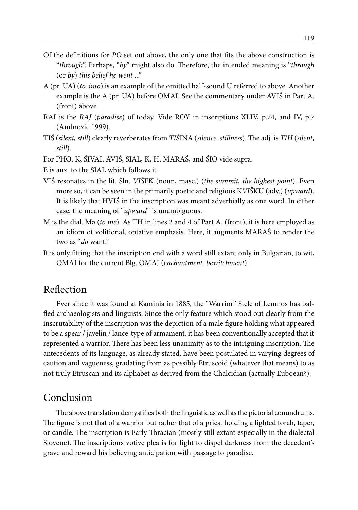- Of the definitions for *PO* set out above, the only one that fits the above construction is "*through*". Perhaps, "*by*" might also do. Therefore, the intended meaning is "*through*  (or *by*) *this belief he went* ..."
- A (pr. UA) (*to, into*) is an example of the omitted half-sound U referred to above. Another example is the A (pr. UA) before OMAI. See the commentary under AVIŚ in Part A. (front) above.
- RAI is the *RAJ* (*paradise*) of today. Vide ROY in inscriptions XLIV, p.74, and IV, p.7 (Ambrozic 1999).
- TIŚ (*silent, still*) clearly reverberates from *TIŠ*INA (*silence, stillness*). The adj. is *TIH* (*silent, still*).

For PHO, K, ŚIVAI, AVIŚ, SIAL, K, H, MARAŚ, and ŚIO vide supra.

E is aux. to the SIAL which follows it.

- VIŚ resonates in the lit. Sln. *VIŠ*EK (noun, masc.) (*the summit, the highest point*). Even more so, it can be seen in the primarily poetic and religious K*VIŠ*KU (adv.) (*upward*). It is likely that HVIŚ in the inscription was meant adverbially as one word. In either case, the meaning of "*upward*" is unambiguous.
- M is the dial. Mә (*to me*). As TH in lines 2 and 4 of Part A. (front), it is here employed as an idiom of volitional, optative emphasis. Here, it augments MARAŚ to render the two as "*do* want."
- It is only fitting that the inscription end with a word still extant only in Bulgarian, to wit, OMAI for the current Blg. OMAJ (*enchantment, bewitchment*).

### Reflection

Ever since it was found at Kaminia in 1885, the "Warrior" Stele of Lemnos has baffled archaeologists and linguists. Since the only feature which stood out clearly from the inscrutability of the inscription was the depiction of a male figure holding what appeared to be a spear / javelin / lance-type of armament, it has been conventionally accepted that it represented a warrior. There has been less unanimity as to the intriguing inscription. The antecedents of its language, as already stated, have been postulated in varying degrees of caution and vagueness, gradating from as possibly Etruscoid (whatever that means) to as not truly Etruscan and its alphabet as derived from the Chalcidian (actually Euboean?).

### Conclusion

The above translation demystifies both the linguistic as well as the pictorial conundrums. The figure is not that of a warrior but rather that of a priest holding a lighted torch, taper, or candle. The inscription is Early Thracian (mostly still extant especially in the dialectal Slovene). The inscription's votive plea is for light to dispel darkness from the decedent's grave and reward his believing anticipation with passage to paradise.